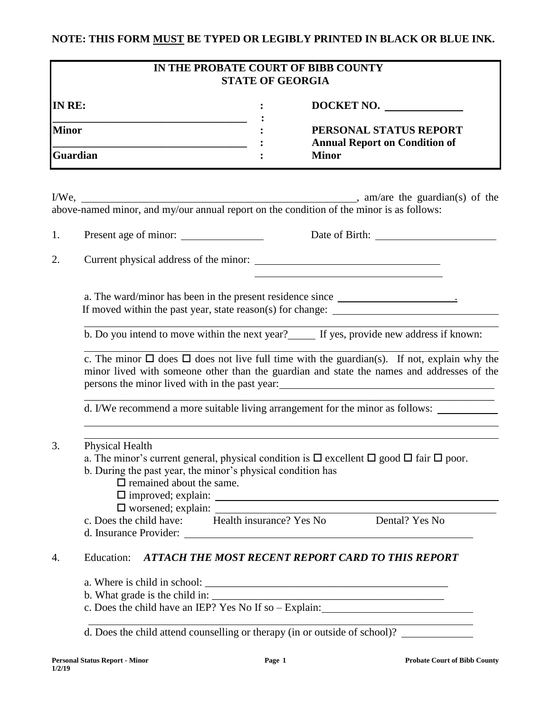# **NOTE: THIS FORM MUST BE TYPED OR LEGIBLY PRINTED IN BLACK OR BLUE INK.**

| IN THE PROBATE COURT OF BIBB COUNTY<br><b>STATE OF GEORGIA</b>                                                                                                    |                                                                                                                                                                                                                                                                             |  |                                                                                         |  |  |  |
|-------------------------------------------------------------------------------------------------------------------------------------------------------------------|-----------------------------------------------------------------------------------------------------------------------------------------------------------------------------------------------------------------------------------------------------------------------------|--|-----------------------------------------------------------------------------------------|--|--|--|
| IN RE:<br><u> 1989 - Jan James James, politik eta idazleari zituen erroman zen arteko hamarra zen baina zen arteko hamarra</u><br><b>Minor</b><br><b>Guardian</b> |                                                                                                                                                                                                                                                                             |  | DOCKET NO.                                                                              |  |  |  |
|                                                                                                                                                                   |                                                                                                                                                                                                                                                                             |  | PERSONAL STATUS REPORT<br><b>Annual Report on Condition of</b>                          |  |  |  |
|                                                                                                                                                                   |                                                                                                                                                                                                                                                                             |  | <b>Minor</b>                                                                            |  |  |  |
|                                                                                                                                                                   |                                                                                                                                                                                                                                                                             |  |                                                                                         |  |  |  |
|                                                                                                                                                                   |                                                                                                                                                                                                                                                                             |  |                                                                                         |  |  |  |
| 1.                                                                                                                                                                |                                                                                                                                                                                                                                                                             |  |                                                                                         |  |  |  |
| 2.                                                                                                                                                                |                                                                                                                                                                                                                                                                             |  |                                                                                         |  |  |  |
|                                                                                                                                                                   | a. The ward/minor has been in the present residence since _______________________                                                                                                                                                                                           |  |                                                                                         |  |  |  |
|                                                                                                                                                                   | b. Do you intend to move within the next year?<br>If yes, provide new address if known:                                                                                                                                                                                     |  |                                                                                         |  |  |  |
|                                                                                                                                                                   | c. The minor $\Box$ does $\Box$ does not live full time with the guardian(s). If not, explain why the<br>minor lived with someone other than the guardian and state the names and addresses of the<br>persons the minor lived with in the past year:                        |  |                                                                                         |  |  |  |
|                                                                                                                                                                   |                                                                                                                                                                                                                                                                             |  | d. I/We recommend a more suitable living arrangement for the minor as follows:          |  |  |  |
| 3.                                                                                                                                                                | <b>Physical Health</b><br>a. The minor's current general, physical condition is $\Box$ excellent $\Box$ good $\Box$ fair $\Box$ poor.<br>b. During the past year, the minor's physical condition has<br>$\Box$ remained about the same.<br>$\Box$ improved; explain: $\Box$ |  |                                                                                         |  |  |  |
|                                                                                                                                                                   |                                                                                                                                                                                                                                                                             |  | c. Does the child have: Health insurance? Yes No Dental? Yes No                         |  |  |  |
| 4.                                                                                                                                                                | Education: ATTACH THE MOST RECENT REPORT CARD TO THIS REPORT                                                                                                                                                                                                                |  |                                                                                         |  |  |  |
|                                                                                                                                                                   |                                                                                                                                                                                                                                                                             |  |                                                                                         |  |  |  |
|                                                                                                                                                                   |                                                                                                                                                                                                                                                                             |  | c. Does the child have an IEP? Yes No If so - Explain:                                  |  |  |  |
|                                                                                                                                                                   |                                                                                                                                                                                                                                                                             |  |                                                                                         |  |  |  |
|                                                                                                                                                                   |                                                                                                                                                                                                                                                                             |  | d. Does the child attend counselling or therapy (in or outside of school)? ____________ |  |  |  |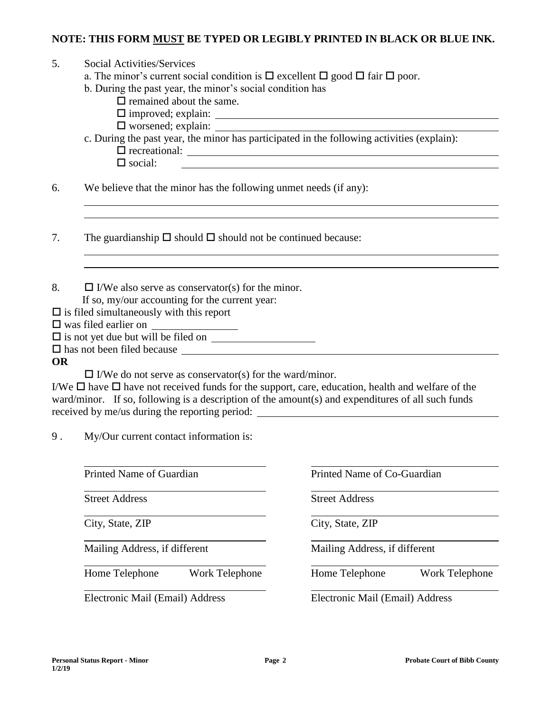#### **NOTE: THIS FORM MUST BE TYPED OR LEGIBLY PRINTED IN BLACK OR BLUE INK.**

| 5.        | Social Activities/Services<br>a. The minor's current social condition is $\Box$ excellent $\Box$ good $\Box$ fair $\Box$ poor.<br>b. During the past year, the minor's social condition has<br>$\Box$ remained about the same.<br>c. During the past year, the minor has participated in the following activities (explain):<br>$\Box$ social: |  |  |  |  |  |
|-----------|------------------------------------------------------------------------------------------------------------------------------------------------------------------------------------------------------------------------------------------------------------------------------------------------------------------------------------------------|--|--|--|--|--|
| 6.        | We believe that the minor has the following unmet needs (if any):                                                                                                                                                                                                                                                                              |  |  |  |  |  |
| 7.        | The guardianship $\Box$ should $\Box$ should not be continued because:                                                                                                                                                                                                                                                                         |  |  |  |  |  |
| 8.        | $\Box$ I/We also serve as conservator(s) for the minor.<br>If so, my/our accounting for the current year:<br>$\Box$ is filed simultaneously with this report<br>$\square$ was filed earlier on $\_\_\_\_\_\_\_\_\_\_\_\_\_\_\_\_\_\_\_\_$<br>$\square$ is not yet due but will be filed on $\_\_$                                              |  |  |  |  |  |
| <b>OR</b> |                                                                                                                                                                                                                                                                                                                                                |  |  |  |  |  |
|           | $\Box$ I/We do not serve as conservator(s) for the ward/minor.<br>I/We $\Box$ have $\Box$ have not received funds for the support, care, education, health and welfare of the<br>ward/minor. If so, following is a description of the amount(s) and expenditures of all such funds<br>received by me/us during the reporting period:           |  |  |  |  |  |
| 9.        | My/Our current contact information is:                                                                                                                                                                                                                                                                                                         |  |  |  |  |  |
|           |                                                                                                                                                                                                                                                                                                                                                |  |  |  |  |  |

 $\overline{a}$ 

 $\overline{a}$ 

 $\overline{a}$ 

 $\overline{a}$ 

 $\overline{a}$ 

Mailing Address, if different Mailing Address, if different

Printed Name of Guardian **Printed Name of Co-Guardian** 

Street Address Street Address

City, State, ZIP City, State, ZIP

Home Telephone Work Telephone Home Telephone Work Telephone

Electronic Mail (Email) Address Electronic Mail (Email) Address